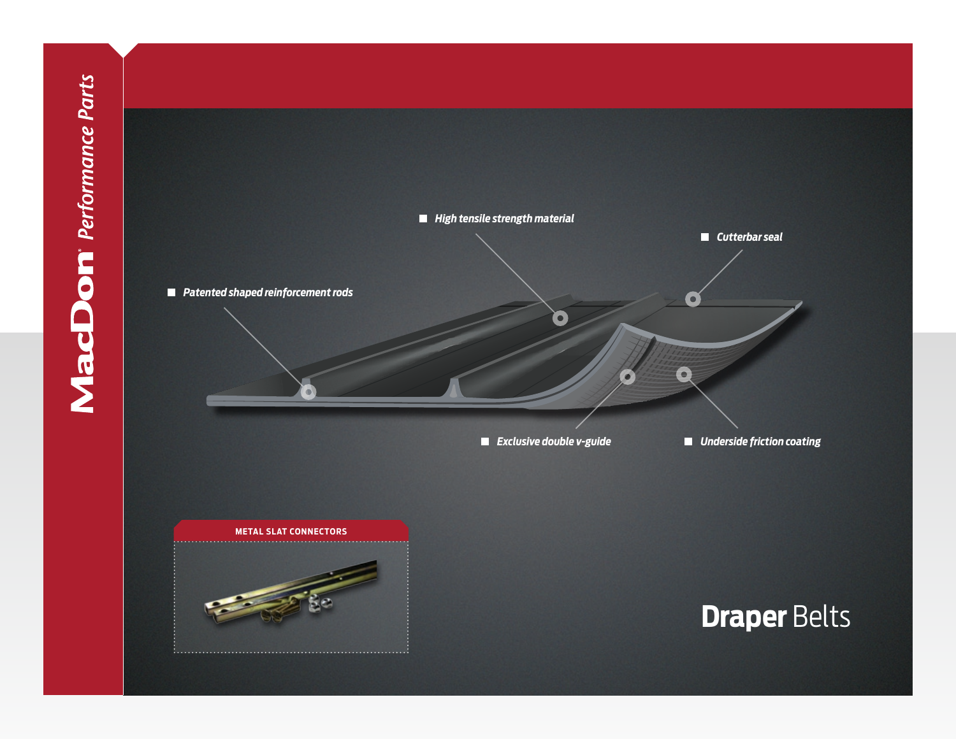